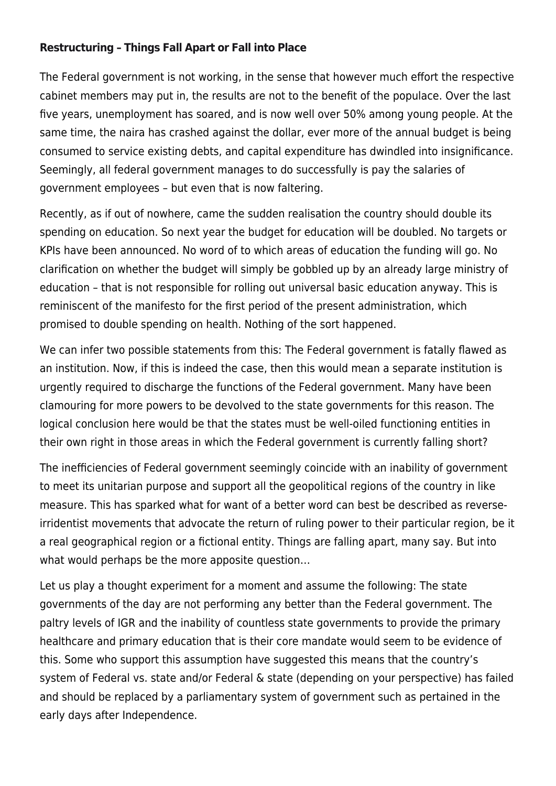## **[Restructuring – Things Fall Apart or Fall into Place](https://thepoliteiainstitute.org/politeia-blog/tapirestructuring/)**

The Federal government is not working, in the sense that however much effort the respective cabinet members may put in, the results are not to the benefit of the populace. Over the last five years, unemployment has soared, and is now well over 50% among young people. At the same time, the naira has crashed against the dollar, ever more of the annual budget is being consumed to service existing debts, and capital expenditure has dwindled into insignificance. Seemingly, all federal government manages to do successfully is pay the salaries of government employees – but even that is now faltering.

Recently, as if out of nowhere, came the sudden realisation the country should double its spending on education. So next year the budget for education will be doubled. No targets or KPIs have been announced. No word of to which areas of education the funding will go. No clarification on whether the budget will simply be gobbled up by an already large ministry of education – that is not responsible for rolling out universal basic education anyway. This is reminiscent of the manifesto for the first period of the present administration, which promised to double spending on health. Nothing of the sort happened.

We can infer two possible statements from this: The Federal government is fatally flawed as an institution. Now, if this is indeed the case, then this would mean a separate institution is urgently required to discharge the functions of the Federal government. Many have been clamouring for more powers to be devolved to the state governments for this reason. The logical conclusion here would be that the states must be well-oiled functioning entities in their own right in those areas in which the Federal government is currently falling short?

The inefficiencies of Federal government seemingly coincide with an inability of government to meet its unitarian purpose and support all the geopolitical regions of the country in like measure. This has sparked what for want of a better word can best be described as reverseirridentist movements that advocate the return of ruling power to their particular region, be it a real geographical region or a fictional entity. Things are falling apart, many say. But into what would perhaps be the more apposite question...

Let us play a thought experiment for a moment and assume the following: The state governments of the day are not performing any better than the Federal government. The paltry levels of IGR and the inability of countless state governments to provide the primary healthcare and primary education that is their core mandate would seem to be evidence of this. Some who support this assumption have suggested this means that the country's system of Federal vs. state and/or Federal & state (depending on your perspective) has failed and should be replaced by a parliamentary system of government such as pertained in the early days after Independence.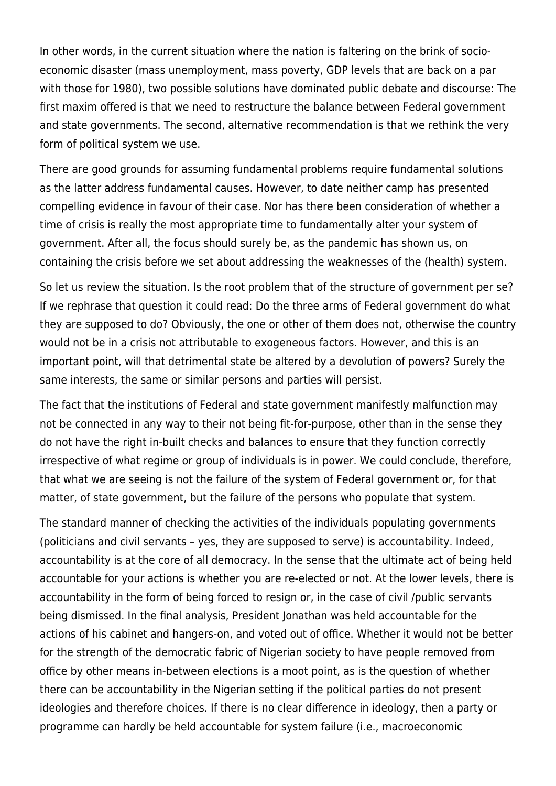In other words, in the current situation where the nation is faltering on the brink of socioeconomic disaster (mass unemployment, mass poverty, GDP levels that are back on a par with those for 1980), two possible solutions have dominated public debate and discourse: The first maxim offered is that we need to restructure the balance between Federal government and state governments. The second, alternative recommendation is that we rethink the very form of political system we use.

There are good grounds for assuming fundamental problems require fundamental solutions as the latter address fundamental causes. However, to date neither camp has presented compelling evidence in favour of their case. Nor has there been consideration of whether a time of crisis is really the most appropriate time to fundamentally alter your system of government. After all, the focus should surely be, as the pandemic has shown us, on containing the crisis before we set about addressing the weaknesses of the (health) system.

So let us review the situation. Is the root problem that of the structure of government per se? If we rephrase that question it could read: Do the three arms of Federal government do what they are supposed to do? Obviously, the one or other of them does not, otherwise the country would not be in a crisis not attributable to exogeneous factors. However, and this is an important point, will that detrimental state be altered by a devolution of powers? Surely the same interests, the same or similar persons and parties will persist.

The fact that the institutions of Federal and state government manifestly malfunction may not be connected in any way to their not being fit-for-purpose, other than in the sense they do not have the right in-built checks and balances to ensure that they function correctly irrespective of what regime or group of individuals is in power. We could conclude, therefore, that what we are seeing is not the failure of the system of Federal government or, for that matter, of state government, but the failure of the persons who populate that system.

The standard manner of checking the activities of the individuals populating governments (politicians and civil servants – yes, they are supposed to serve) is accountability. Indeed, accountability is at the core of all democracy. In the sense that the ultimate act of being held accountable for your actions is whether you are re-elected or not. At the lower levels, there is accountability in the form of being forced to resign or, in the case of civil /public servants being dismissed. In the final analysis, President Jonathan was held accountable for the actions of his cabinet and hangers-on, and voted out of office. Whether it would not be better for the strength of the democratic fabric of Nigerian society to have people removed from office by other means in-between elections is a moot point, as is the question of whether there can be accountability in the Nigerian setting if the political parties do not present ideologies and therefore choices. If there is no clear difference in ideology, then a party or programme can hardly be held accountable for system failure (i.e., macroeconomic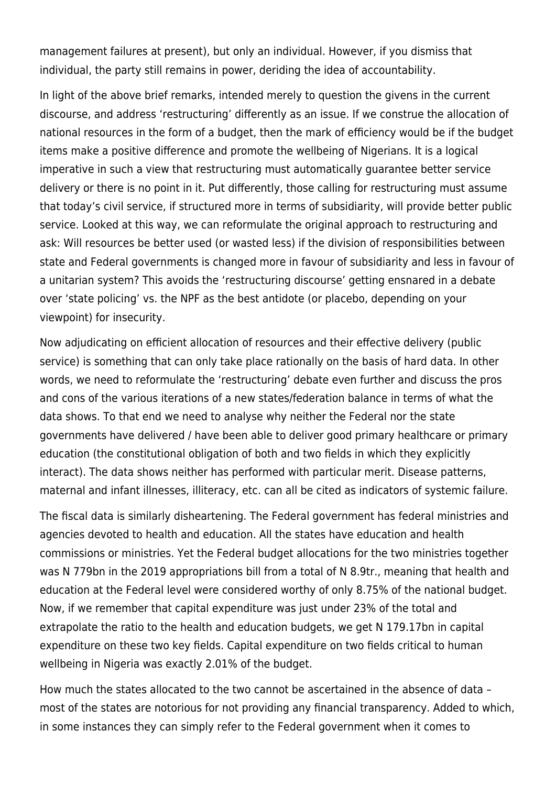management failures at present), but only an individual. However, if you dismiss that individual, the party still remains in power, deriding the idea of accountability.

In light of the above brief remarks, intended merely to question the givens in the current discourse, and address 'restructuring' differently as an issue. If we construe the allocation of national resources in the form of a budget, then the mark of efficiency would be if the budget items make a positive difference and promote the wellbeing of Nigerians. It is a logical imperative in such a view that restructuring must automatically guarantee better service delivery or there is no point in it. Put differently, those calling for restructuring must assume that today's civil service, if structured more in terms of subsidiarity, will provide better public service. Looked at this way, we can reformulate the original approach to restructuring and ask: Will resources be better used (or wasted less) if the division of responsibilities between state and Federal governments is changed more in favour of subsidiarity and less in favour of a unitarian system? This avoids the 'restructuring discourse' getting ensnared in a debate over 'state policing' vs. the NPF as the best antidote (or placebo, depending on your viewpoint) for insecurity.

Now adjudicating on efficient allocation of resources and their effective delivery (public service) is something that can only take place rationally on the basis of hard data. In other words, we need to reformulate the 'restructuring' debate even further and discuss the pros and cons of the various iterations of a new states/federation balance in terms of what the data shows. To that end we need to analyse why neither the Federal nor the state governments have delivered / have been able to deliver good primary healthcare or primary education (the constitutional obligation of both and two fields in which they explicitly interact). The data shows neither has performed with particular merit. Disease patterns, maternal and infant illnesses, illiteracy, etc. can all be cited as indicators of systemic failure.

The fiscal data is similarly disheartening. The Federal government has federal ministries and agencies devoted to health and education. All the states have education and health commissions or ministries. Yet the Federal budget allocations for the two ministries together was N 779bn in the 2019 appropriations bill from a total of N 8.9tr., meaning that health and education at the Federal level were considered worthy of only 8.75% of the national budget. Now, if we remember that capital expenditure was just under 23% of the total and extrapolate the ratio to the health and education budgets, we get N 179.17bn in capital expenditure on these two key fields. Capital expenditure on two fields critical to human wellbeing in Nigeria was exactly 2.01% of the budget.

How much the states allocated to the two cannot be ascertained in the absence of data – most of the states are notorious for not providing any financial transparency. Added to which, in some instances they can simply refer to the Federal government when it comes to